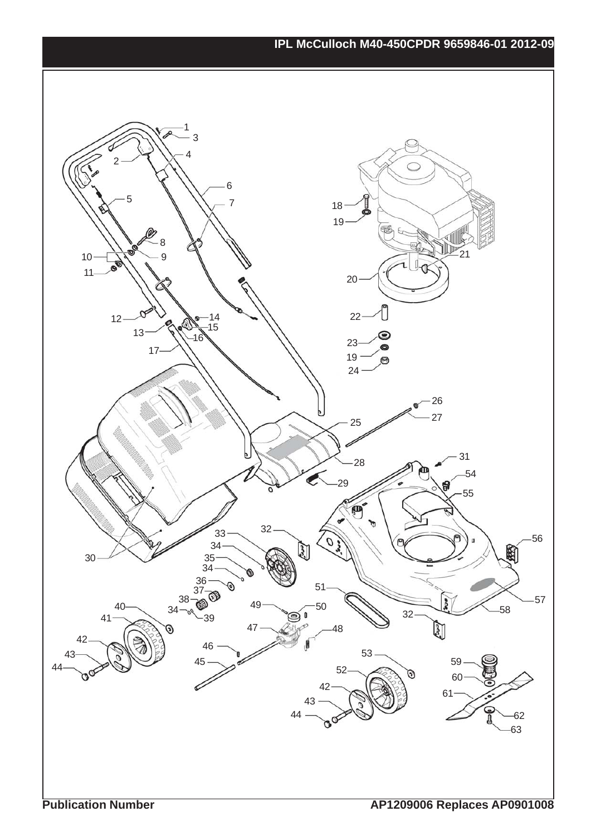## **IPL McCulloch M40-450CPDR 9659846-01 2012-09**